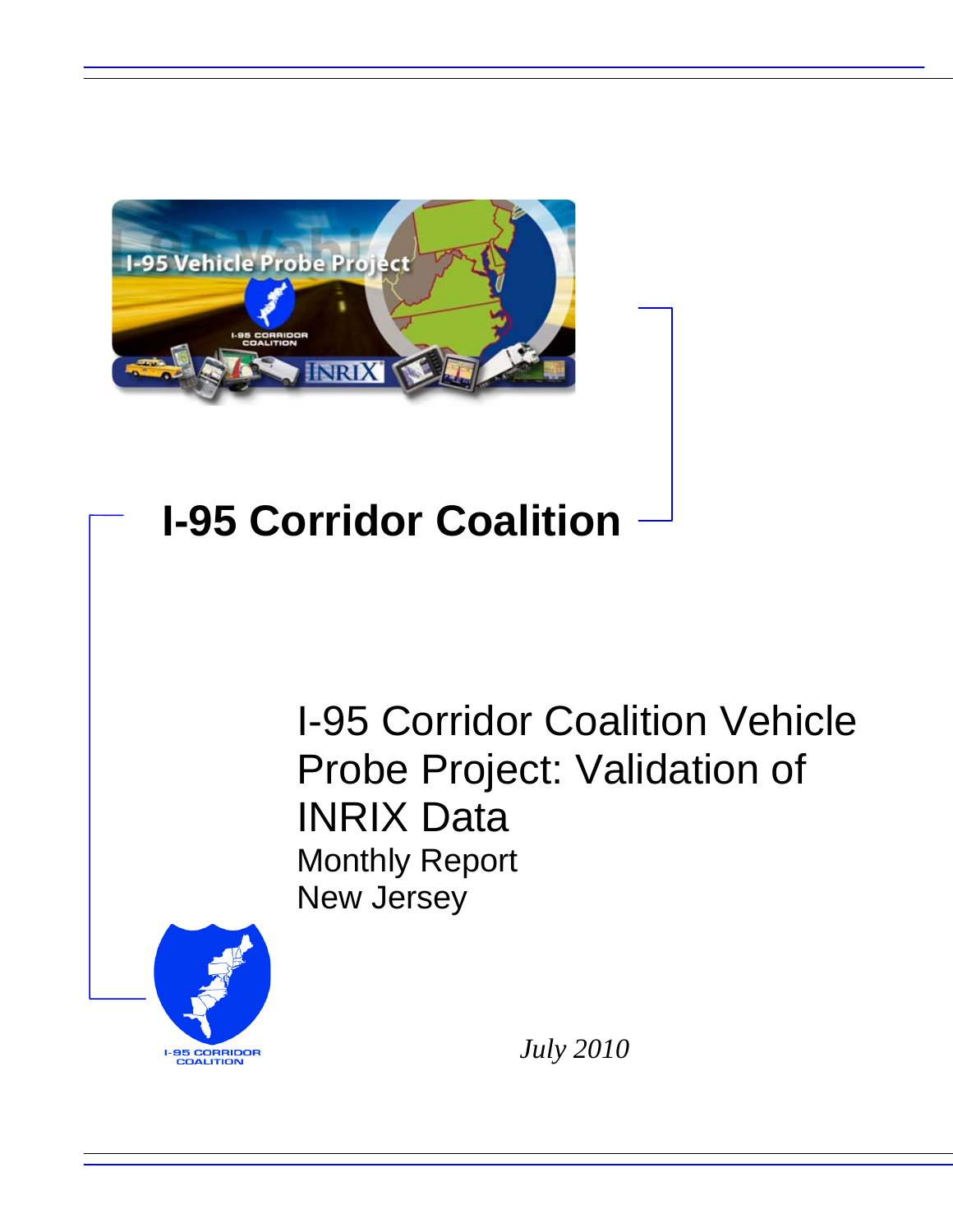

# **I-95 Corridor Coalition**

I-95 Corridor Coalition Vehicle Probe Project: Validation of INRIX Data Monthly Report New Jersey



*July 2010*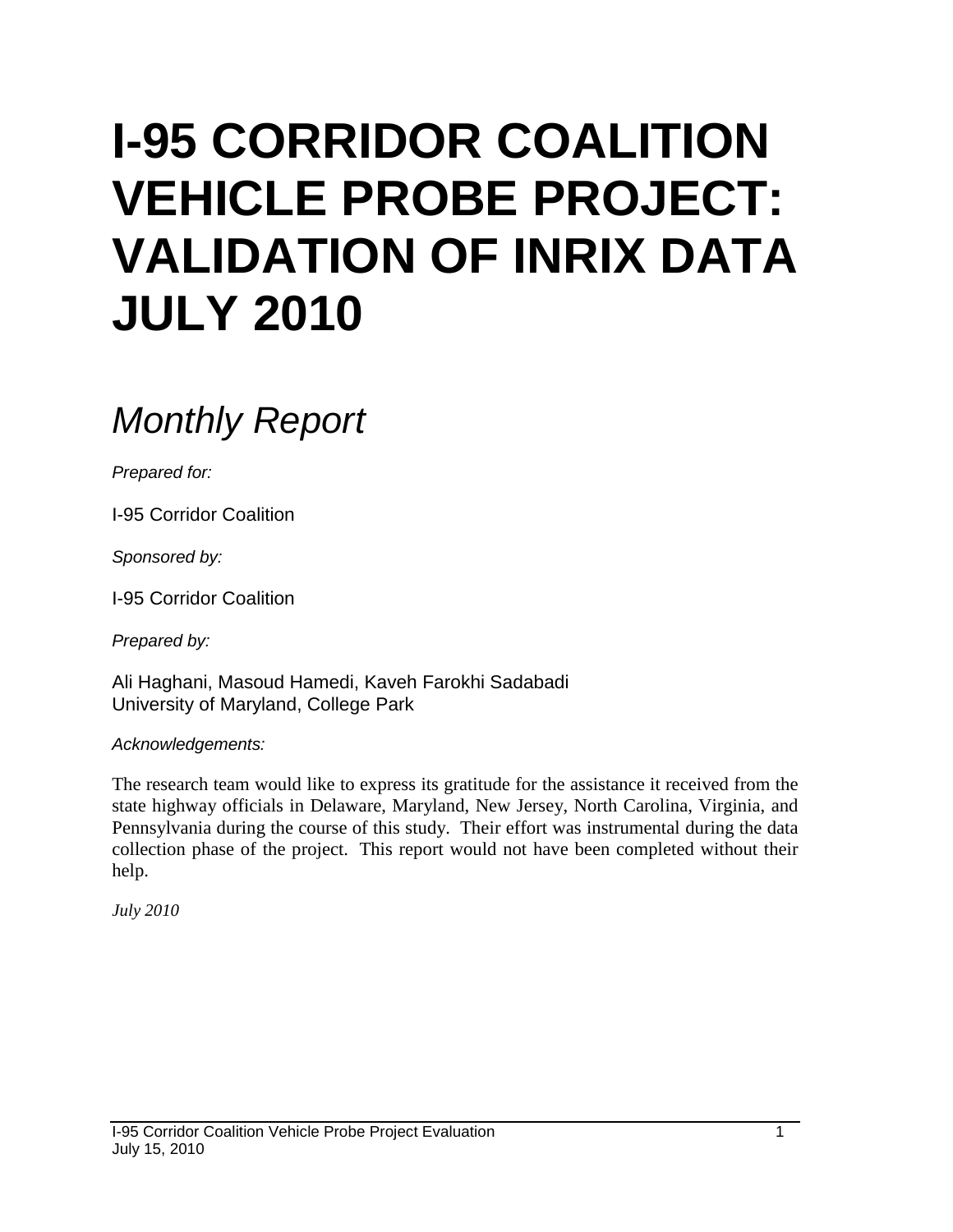# **I-95 CORRIDOR COALITION VEHICLE PROBE PROJECT: VALIDATION OF INRIX DATA JULY 2010**

# *Monthly Report*

*Prepared for:*

I-95 Corridor Coalition

*Sponsored by:*

I-95 Corridor Coalition

*Prepared by:*

Ali Haghani, Masoud Hamedi, Kaveh Farokhi Sadabadi University of Maryland, College Park

*Acknowledgements:*

The research team would like to express its gratitude for the assistance it received from the state highway officials in Delaware, Maryland, New Jersey, North Carolina, Virginia, and Pennsylvania during the course of this study. Their effort was instrumental during the data collection phase of the project. This report would not have been completed without their help.

*July 2010*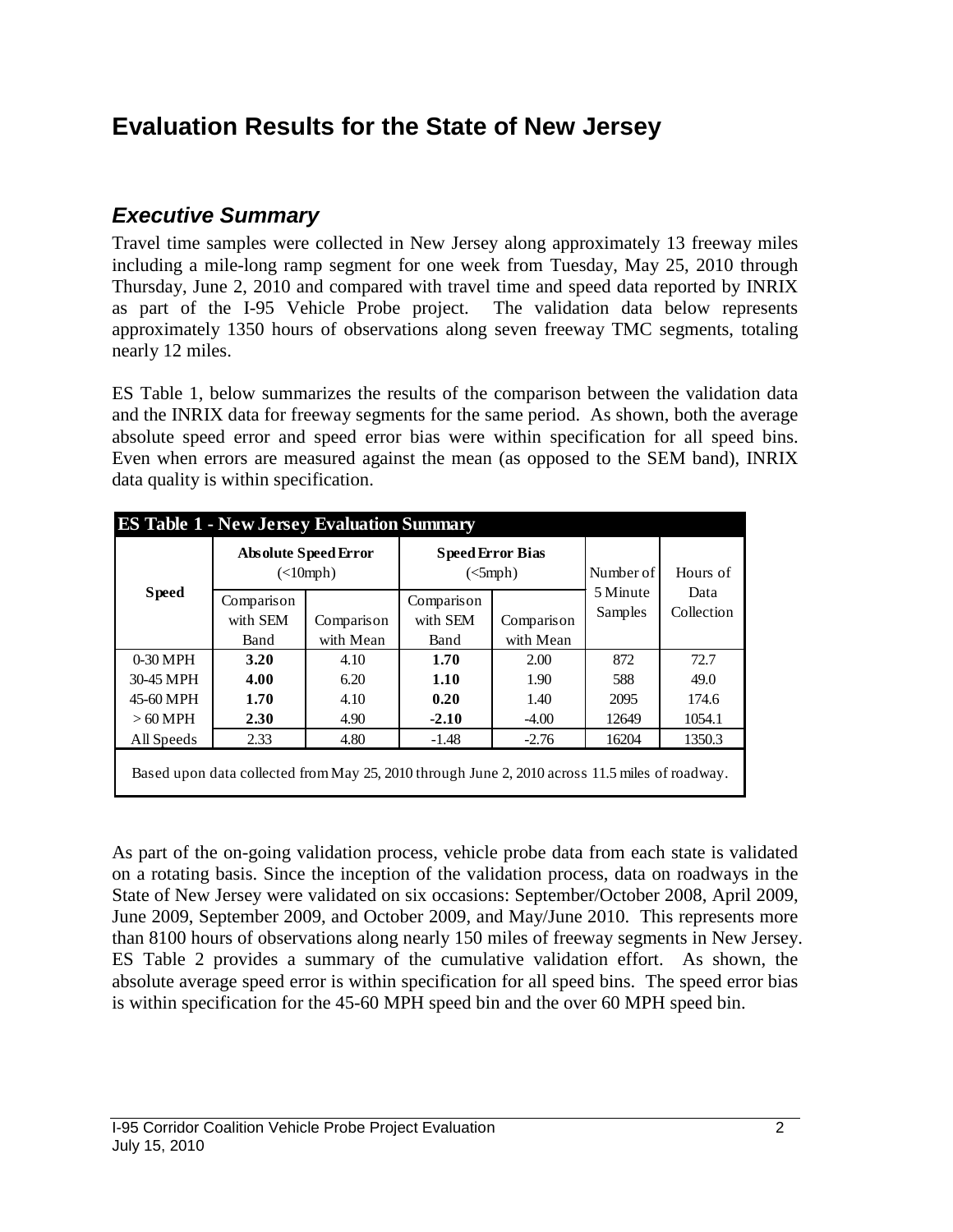# **Evaluation Results for the State of New Jersey**

### *Executive Summary*

Travel time samples were collected in New Jersey along approximately 13 freeway miles including a mile-long ramp segment for one week from Tuesday, May 25, 2010 through Thursday, June 2, 2010 and compared with travel time and speed data reported by INRIX as part of the I-95 Vehicle Probe project. The validation data below represents approximately 1350 hours of observations along seven freeway TMC segments, totaling nearly 12 miles.

ES Table 1, below summarizes the results of the comparison between the validation data and the INRIX data for freeway segments for the same period. As shown, both the average absolute speed error and speed error bias were within specification for all speed bins. Even when errors are measured against the mean (as opposed to the SEM band), INRIX data quality is within specification.

|            | <b>ES Table 1 - New Jersey Evaluation Summary</b>                                              |                                                           |                         |                        |                     |                    |  |  |  |  |  |
|------------|------------------------------------------------------------------------------------------------|-----------------------------------------------------------|-------------------------|------------------------|---------------------|--------------------|--|--|--|--|--|
|            |                                                                                                | <b>Absolute Speed Error</b><br>$(\langle 10 \text{ mph})$ | <b>Speed Error Bias</b> | $\left($ $\leq$ 5 mph) | Number of           | Hours of           |  |  |  |  |  |
|            | <b>Speed</b><br>Comparison<br>with SEM<br>Comparison                                           |                                                           | Comparison<br>with SEM  | Comparison             | 5 Minute<br>Samples | Data<br>Collection |  |  |  |  |  |
|            | with Mean<br>Band                                                                              |                                                           | Band                    | with Mean              |                     |                    |  |  |  |  |  |
| $0-30$ MPH | 3.20                                                                                           | 4.10                                                      | 1.70                    | 2.00                   | 872                 | 72.7               |  |  |  |  |  |
| 30-45 MPH  | 4.00                                                                                           | 6.20                                                      | 1.10                    | 1.90                   | 588                 | 49.0               |  |  |  |  |  |
| 45-60 MPH  | 1.70                                                                                           | 4.10                                                      | 0.20                    | 1.40                   | 2095                | 174.6              |  |  |  |  |  |
| $>60$ MPH  | 2.30                                                                                           | 4.90                                                      | $-2.10$                 | $-4.00$                | 12649               | 1054.1             |  |  |  |  |  |
| All Speeds | 2.33                                                                                           | 4.80                                                      | $-1.48$                 | $-2.76$                | 16204               | 1350.3             |  |  |  |  |  |
|            | Based upon data collected from May 25, 2010 through June 2, 2010 across 11.5 miles of roadway. |                                                           |                         |                        |                     |                    |  |  |  |  |  |

As part of the on-going validation process, vehicle probe data from each state is validated on a rotating basis. Since the inception of the validation process, data on roadways in the State of New Jersey were validated on six occasions: September/October 2008, April 2009, June 2009, September 2009, and October 2009, and May/June 2010. This represents more than 8100 hours of observations along nearly 150 miles of freeway segments in New Jersey. ES Table 2 provides a summary of the cumulative validation effort. As shown, the absolute average speed error is within specification for all speed bins. The speed error bias is within specification for the 45-60 MPH speed bin and the over 60 MPH speed bin.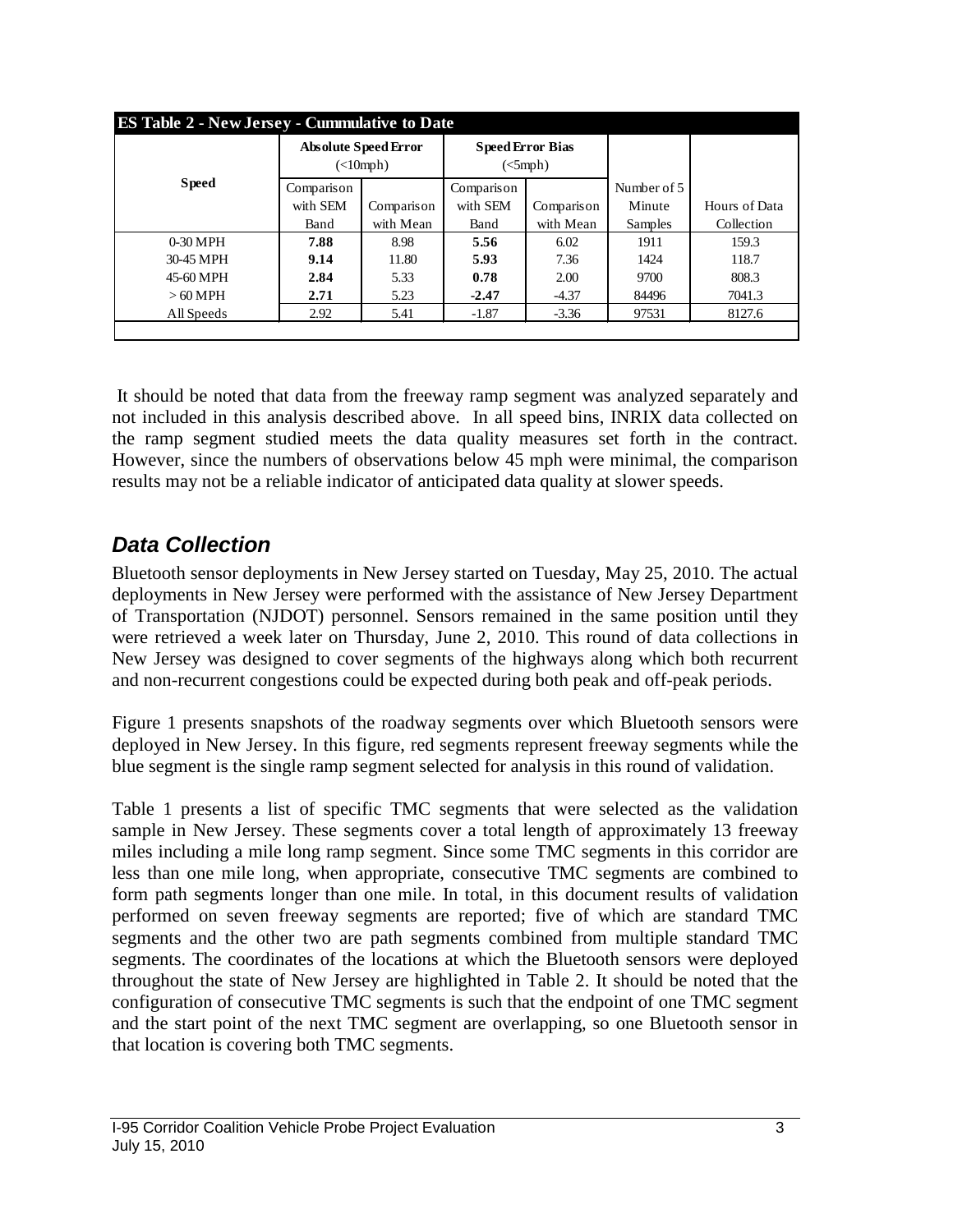|              | <b>ES Table 2 - New Jersey - Cummulative to Date</b> |                                                                    |            |                                                          |             |               |  |  |  |  |
|--------------|------------------------------------------------------|--------------------------------------------------------------------|------------|----------------------------------------------------------|-------------|---------------|--|--|--|--|
|              |                                                      | <b>Absolute Speed Error</b><br>$\left(\text{<}10\text{mph}\right)$ |            | <b>Speed Error Bias</b><br>$\left($ $\leq$ mph $\right)$ |             |               |  |  |  |  |
| <b>Speed</b> | Comparison                                           |                                                                    | Comparison |                                                          | Number of 5 |               |  |  |  |  |
|              | with SEM<br>Comparison                               |                                                                    | with SEM   | Comparison                                               | Minute      | Hours of Data |  |  |  |  |
|              | with Mean<br>Band                                    |                                                                    | Band       | with Mean                                                | Samples     | Collection    |  |  |  |  |
| $0-30$ MPH   | 7.88                                                 | 8.98                                                               | 5.56       | 6.02                                                     | 1911        | 159.3         |  |  |  |  |
| 30-45 MPH    | 9.14                                                 | 11.80                                                              | 5.93       | 7.36                                                     | 1424        | 118.7         |  |  |  |  |
| 45-60 MPH    | 2.84                                                 | 5.33                                                               | 0.78       | 2.00                                                     | 9700        | 808.3         |  |  |  |  |
| $>60$ MPH    | 2.71                                                 | 5.23                                                               | $-2.47$    | $-4.37$                                                  | 84496       | 7041.3        |  |  |  |  |
| All Speeds   | 2.92                                                 | 5.41                                                               | $-1.87$    | $-3.36$                                                  | 97531       | 8127.6        |  |  |  |  |
|              |                                                      |                                                                    |            |                                                          |             |               |  |  |  |  |

It should be noted that data from the freeway ramp segment was analyzed separately and not included in this analysis described above. In all speed bins, INRIX data collected on the ramp segment studied meets the data quality measures set forth in the contract. However, since the numbers of observations below 45 mph were minimal, the comparison results may not be a reliable indicator of anticipated data quality at slower speeds.

# *Data Collection*

Bluetooth sensor deployments in New Jersey started on Tuesday, May 25, 2010. The actual deployments in New Jersey were performed with the assistance of New Jersey Department of Transportation (NJDOT) personnel. Sensors remained in the same position until they were retrieved a week later on Thursday, June 2, 2010. This round of data collections in New Jersey was designed to cover segments of the highways along which both recurrent and non-recurrent congestions could be expected during both peak and off-peak periods.

Figure 1 presents snapshots of the roadway segments over which Bluetooth sensors were deployed in New Jersey. In this figure, red segments represent freeway segments while the blue segment is the single ramp segment selected for analysis in this round of validation.

Table 1 presents a list of specific TMC segments that were selected as the validation sample in New Jersey. These segments cover a total length of approximately 13 freeway miles including a mile long ramp segment. Since some TMC segments in this corridor are less than one mile long, when appropriate, consecutive TMC segments are combined to form path segments longer than one mile. In total, in this document results of validation performed on seven freeway segments are reported; five of which are standard TMC segments and the other two are path segments combined from multiple standard TMC segments. The coordinates of the locations at which the Bluetooth sensors were deployed throughout the state of New Jersey are highlighted in Table 2. It should be noted that the configuration of consecutive TMC segments is such that the endpoint of one TMC segment and the start point of the next TMC segment are overlapping, so one Bluetooth sensor in that location is covering both TMC segments.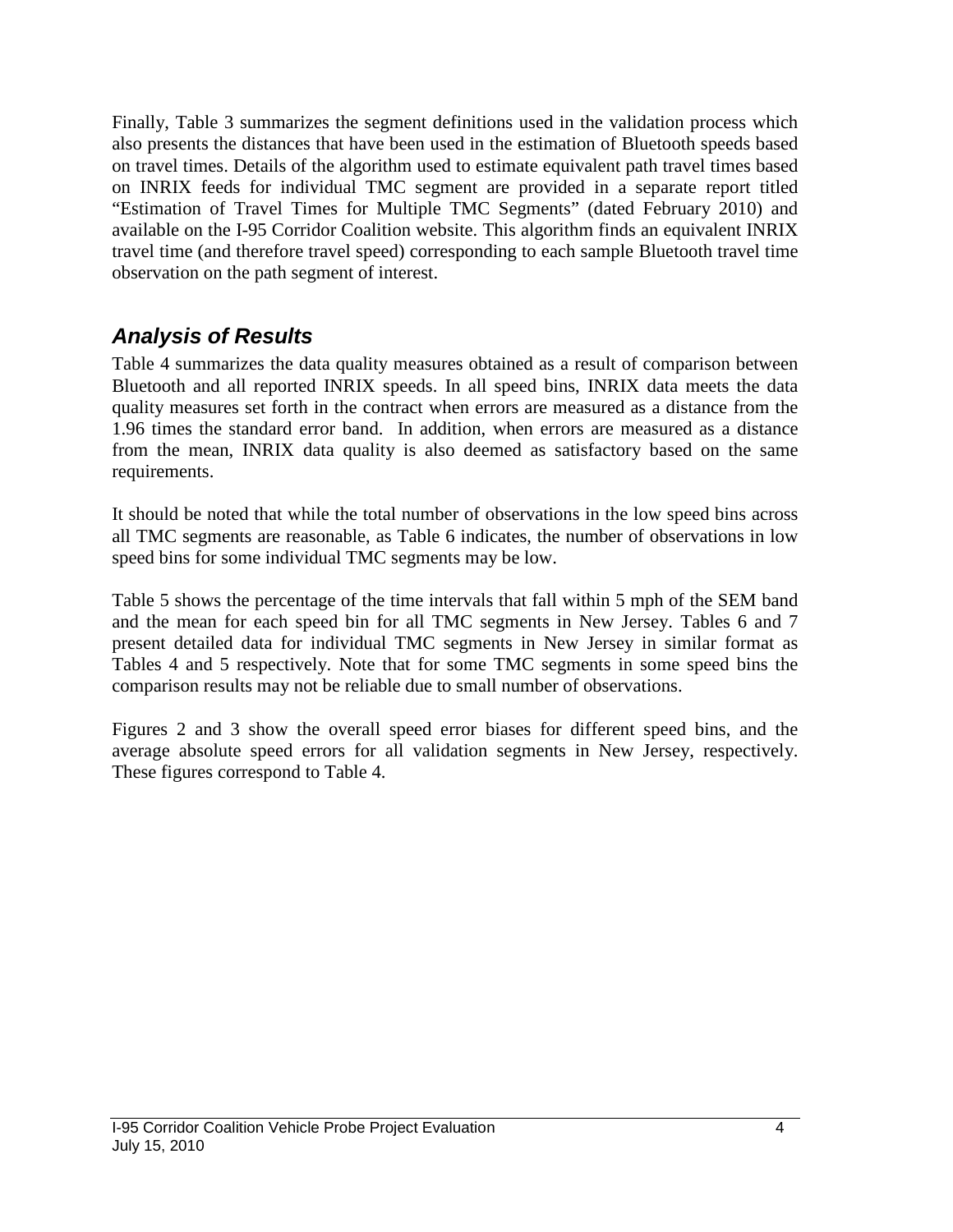Finally, Table 3 summarizes the segment definitions used in the validation process which also presents the distances that have been used in the estimation of Bluetooth speeds based on travel times. Details of the algorithm used to estimate equivalent path travel times based on INRIX feeds for individual TMC segment are provided in a separate report titled "Estimation of Travel Times for Multiple TMC Segments" (dated February 2010) and available on the I-95 Corridor Coalition website. This algorithm finds an equivalent INRIX travel time (and therefore travel speed) corresponding to each sample Bluetooth travel time observation on the path segment of interest.

### *Analysis of Results*

Table 4 summarizes the data quality measures obtained as a result of comparison between Bluetooth and all reported INRIX speeds. In all speed bins, INRIX data meets the data quality measures set forth in the contract when errors are measured as a distance from the 1.96 times the standard error band. In addition, when errors are measured as a distance from the mean, INRIX data quality is also deemed as satisfactory based on the same requirements.

It should be noted that while the total number of observations in the low speed bins across all TMC segments are reasonable, as Table 6 indicates, the number of observations in low speed bins for some individual TMC segments may be low.

Table 5 shows the percentage of the time intervals that fall within 5 mph of the SEM band and the mean for each speed bin for all TMC segments in New Jersey. Tables 6 and 7 present detailed data for individual TMC segments in New Jersey in similar format as Tables 4 and 5 respectively. Note that for some TMC segments in some speed bins the comparison results may not be reliable due to small number of observations.

Figures 2 and 3 show the overall speed error biases for different speed bins, and the average absolute speed errors for all validation segments in New Jersey, respectively. These figures correspond to Table 4.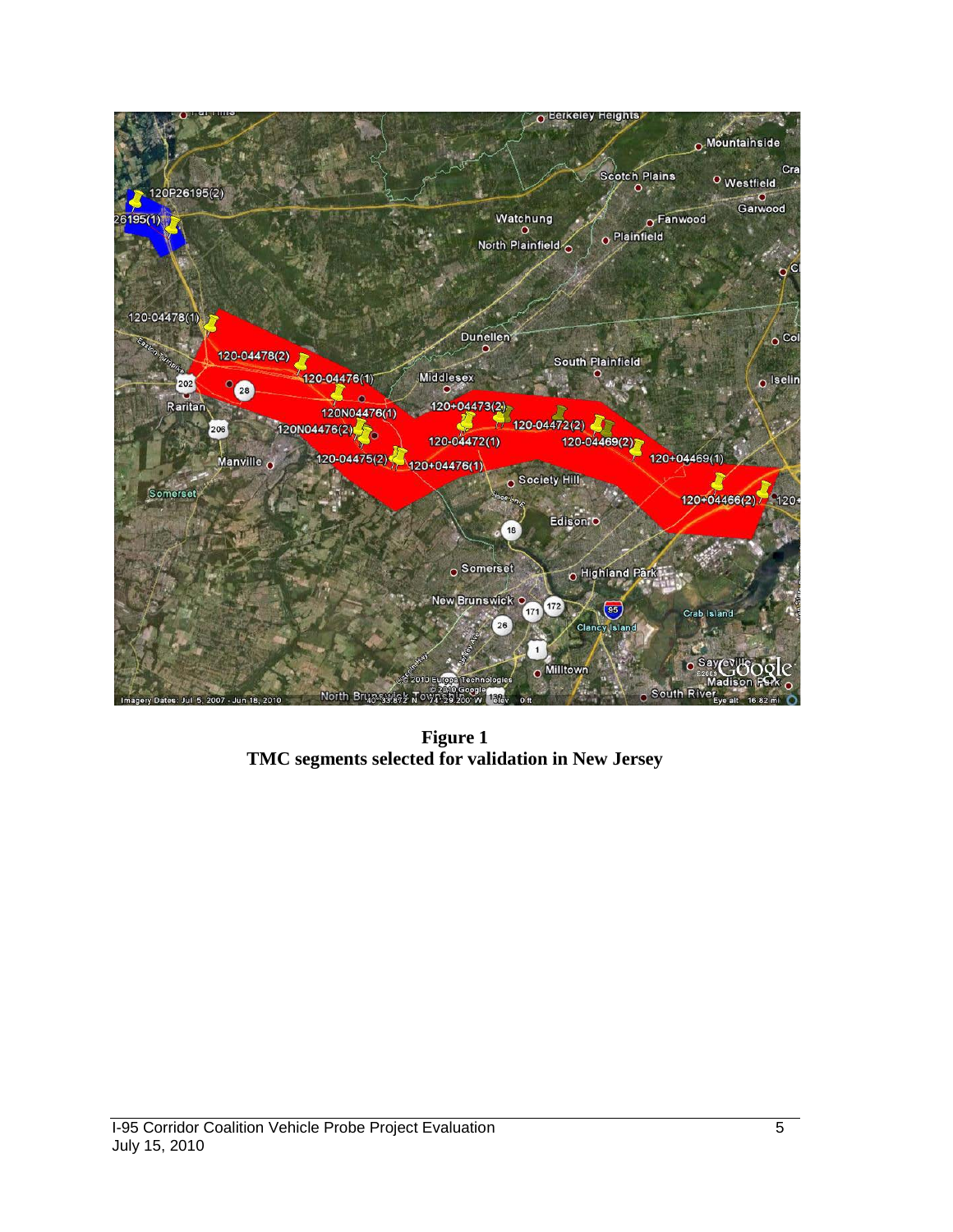

**Figure 1 TMC segments selected for validation in New Jersey**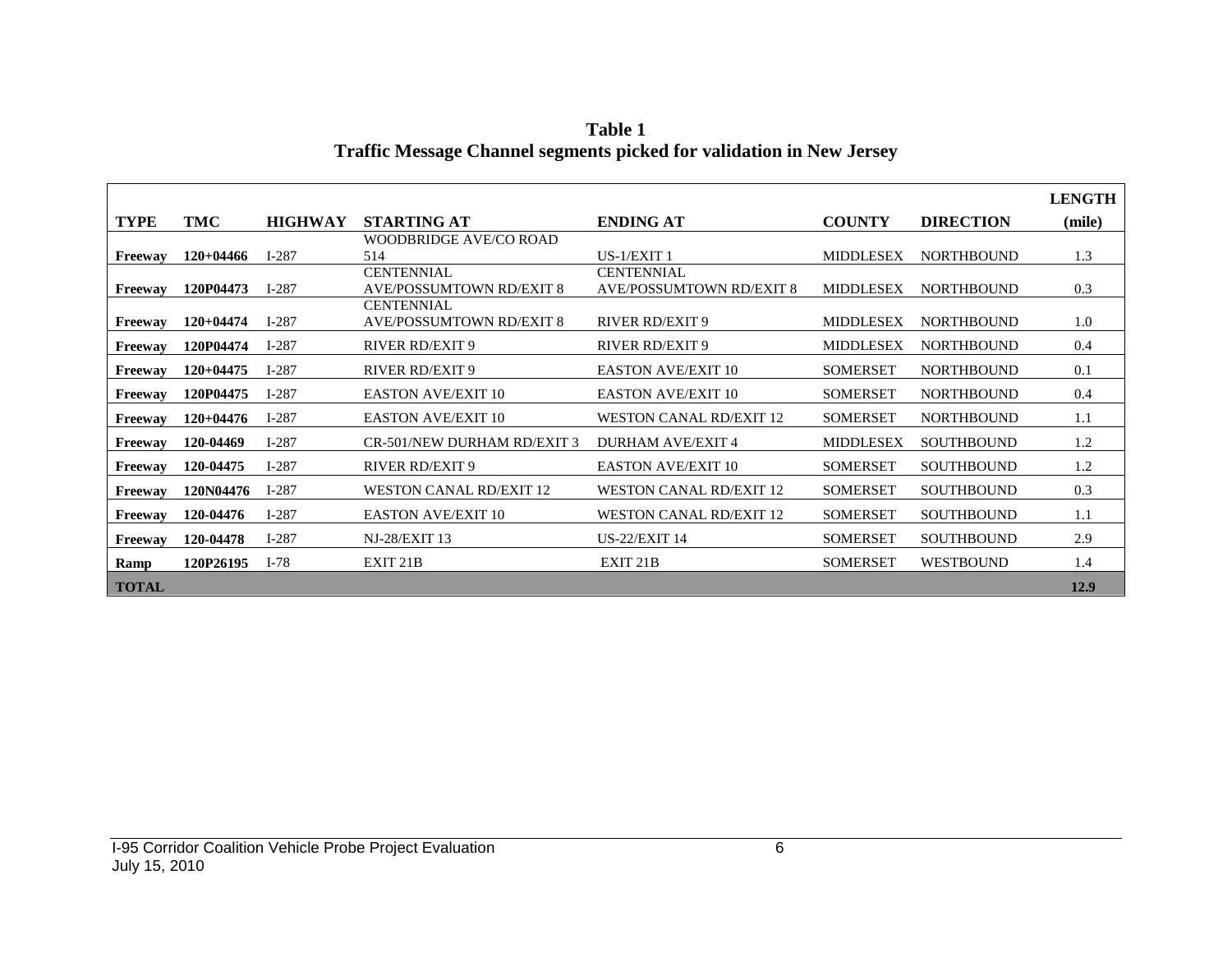|                |             |                |                                 |                                 |                  |                   | <b>LENGTH</b> |
|----------------|-------------|----------------|---------------------------------|---------------------------------|------------------|-------------------|---------------|
| <b>TYPE</b>    | TMC         | <b>HIGHWAY</b> | <b>STARTING AT</b>              | <b>ENDING AT</b>                | <b>COUNTY</b>    | <b>DIRECTION</b>  | (mile)        |
|                |             |                | WOODBRIDGE AVE/CO ROAD          |                                 |                  |                   |               |
| Freeway        | $120+04466$ | $I-287$        | 514                             | $US-1/EXIT1$                    | <b>MIDDLESEX</b> | <b>NORTHBOUND</b> | 1.3           |
|                |             |                | <b>CENTENNIAL</b>               | <b>CENTENNIAL</b>               |                  |                   |               |
| Freeway        | 120P04473   | $I-287$        | <b>AVE/POSSUMTOWN RD/EXIT 8</b> | <b>AVE/POSSUMTOWN RD/EXIT 8</b> | <b>MIDDLESEX</b> | <b>NORTHBOUND</b> | 0.3           |
|                |             |                | <b>CENTENNIAL</b>               |                                 |                  |                   |               |
| Freeway        | $120+04474$ | $I-287$        | <b>AVE/POSSUMTOWN RD/EXIT 8</b> | <b>RIVER RD/EXIT 9</b>          | <b>MIDDLESEX</b> | <b>NORTHBOUND</b> | 1.0           |
| Freeway        | 120P04474   | $I-287$        | <b>RIVER RD/EXIT 9</b>          | <b>RIVER RD/EXIT 9</b>          | <b>MIDDLESEX</b> | <b>NORTHBOUND</b> | 0.4           |
| Freeway        | $120+04475$ | $I-287$        | <b>RIVER RD/EXIT 9</b>          | <b>EASTON AVE/EXIT 10</b>       | <b>SOMERSET</b>  | <b>NORTHBOUND</b> | 0.1           |
| Freeway        | 120P04475   | $I-287$        | <b>EASTON AVE/EXIT 10</b>       | <b>EASTON AVE/EXIT 10</b>       | <b>SOMERSET</b>  | <b>NORTHBOUND</b> | 0.4           |
| Freeway        | $120+04476$ | $I-287$        | <b>EASTON AVE/EXIT 10</b>       | <b>WESTON CANAL RD/EXIT 12</b>  | <b>SOMERSET</b>  | <b>NORTHBOUND</b> | 1.1           |
| Freeway        | 120-04469   | $I-287$        | CR-501/NEW DURHAM RD/EXIT 3     | <b>DURHAM AVE/EXIT 4</b>        | <b>MIDDLESEX</b> | <b>SOUTHBOUND</b> | 1.2           |
| Freeway        | 120-04475   | $I-287$        | <b>RIVER RD/EXIT 9</b>          | <b>EASTON AVE/EXIT 10</b>       | <b>SOMERSET</b>  | <b>SOUTHBOUND</b> | 1.2           |
| <b>Freeway</b> | 120N04476   | $I-287$        | <b>WESTON CANAL RD/EXIT 12</b>  | <b>WESTON CANAL RD/EXIT 12</b>  | <b>SOMERSET</b>  | <b>SOUTHBOUND</b> | 0.3           |
| Freeway        | 120-04476   | $I-287$        | <b>EASTON AVE/EXIT 10</b>       | <b>WESTON CANAL RD/EXIT 12</b>  | <b>SOMERSET</b>  | <b>SOUTHBOUND</b> | 1.1           |
| Freeway        | 120-04478   | $I-287$        | <b>NJ-28/EXIT 13</b>            | <b>US-22/EXIT 14</b>            | <b>SOMERSET</b>  | <b>SOUTHBOUND</b> | 2.9           |
| Ramp           | 120P26195   | $I-78$         | EXIT <sub>21</sub> B            | EXIT <sub>21</sub> B            | <b>SOMERSET</b>  | <b>WESTBOUND</b>  | 1.4           |
| <b>TOTAL</b>   |             |                |                                 |                                 |                  |                   | 12.9          |

**Table 1 Traffic Message Channel segments picked for validation in New Jersey**

Г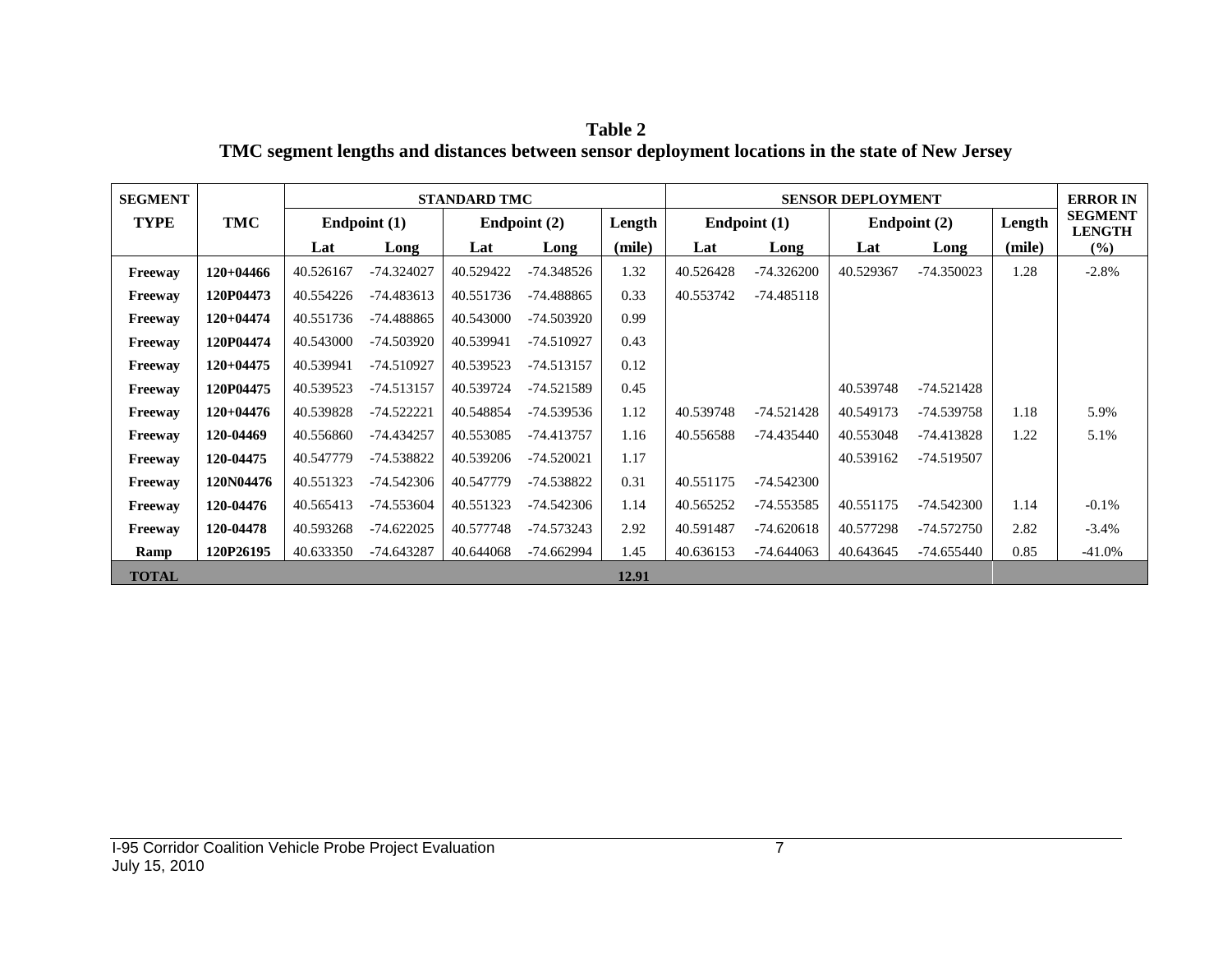**Table 2 TMC segment lengths and distances between sensor deployment locations in the state of New Jersey**

| <b>SEGMENT</b> |             |           |                | <b>STANDARD TMC</b> |                |        |           |                | <b>SENSOR DEPLOYMENT</b> |              |        | <b>ERROR IN</b>                 |
|----------------|-------------|-----------|----------------|---------------------|----------------|--------|-----------|----------------|--------------------------|--------------|--------|---------------------------------|
| <b>TYPE</b>    | <b>TMC</b>  |           | Endpoint $(1)$ |                     | Endpoint $(2)$ | Length |           | Endpoint $(1)$ |                          | Endpoint (2) | Length | <b>SEGMENT</b><br><b>LENGTH</b> |
|                |             | Lat       | Long           | Lat                 | Long           | (mile) | Lat       | Long           | Lat                      | Long         | (mile) | (%)                             |
| Freeway        | $120+04466$ | 40.526167 | $-74.324027$   | 40.529422           | $-74.348526$   | 1.32   | 40.526428 | $-74.326200$   | 40.529367                | $-74.350023$ | 1.28   | $-2.8%$                         |
| Freeway        | 120P04473   | 40.554226 | $-74.483613$   | 40.551736           | $-74.488865$   | 0.33   | 40.553742 | $-74.485118$   |                          |              |        |                                 |
| Freeway        | $120+04474$ | 40.551736 | -74.488865     | 40.543000           | $-74.503920$   | 0.99   |           |                |                          |              |        |                                 |
| Freeway        | 120P04474   | 40.543000 | -74.503920     | 40.539941           | -74.510927     | 0.43   |           |                |                          |              |        |                                 |
| Freeway        | $120+04475$ | 40.539941 | -74.510927     | 40.539523           | -74.513157     | 0.12   |           |                |                          |              |        |                                 |
| Freeway        | 120P04475   | 40.539523 | -74.513157     | 40.539724           | -74.521589     | 0.45   |           |                | 40.539748                | -74.521428   |        |                                 |
| Freeway        | $120+04476$ | 40.539828 | $-74.522221$   | 40.548854           | -74.539536     | 1.12   | 40.539748 | -74.521428     | 40.549173                | -74.539758   | 1.18   | 5.9%                            |
| Freeway        | 120-04469   | 40.556860 | -74.434257     | 40.553085           | -74.413757     | 1.16   | 40.556588 | -74.435440     | 40.553048                | -74.413828   | 1.22   | 5.1%                            |
| Freeway        | 120-04475   | 40.547779 | -74.538822     | 40.539206           | $-74.520021$   | 1.17   |           |                | 40.539162                | $-74.519507$ |        |                                 |
| Freeway        | 120N04476   | 40.551323 | $-74.542306$   | 40.547779           | -74.538822     | 0.31   | 40.551175 | $-74.542300$   |                          |              |        |                                 |
| Freeway        | 120-04476   | 40.565413 | -74.553604     | 40.551323           | -74.542306     | 1.14   | 40.565252 | -74.553585     | 40.551175                | $-74.542300$ | 1.14   | $-0.1\%$                        |
| Freeway        | 120-04478   | 40.593268 | $-74.622025$   | 40.577748           | -74.573243     | 2.92   | 40.591487 | $-74.620618$   | 40.577298                | -74.572750   | 2.82   | $-3.4%$                         |
| Ramp           | 120P26195   | 40.633350 | -74.643287     | 40.644068           | $-74.662994$   | 1.45   | 40.636153 | $-74.644063$   | 40.643645                | -74.655440   | 0.85   | $-41.0%$                        |
| <b>TOTAL</b>   |             |           |                |                     |                | 12.91  |           |                |                          |              |        |                                 |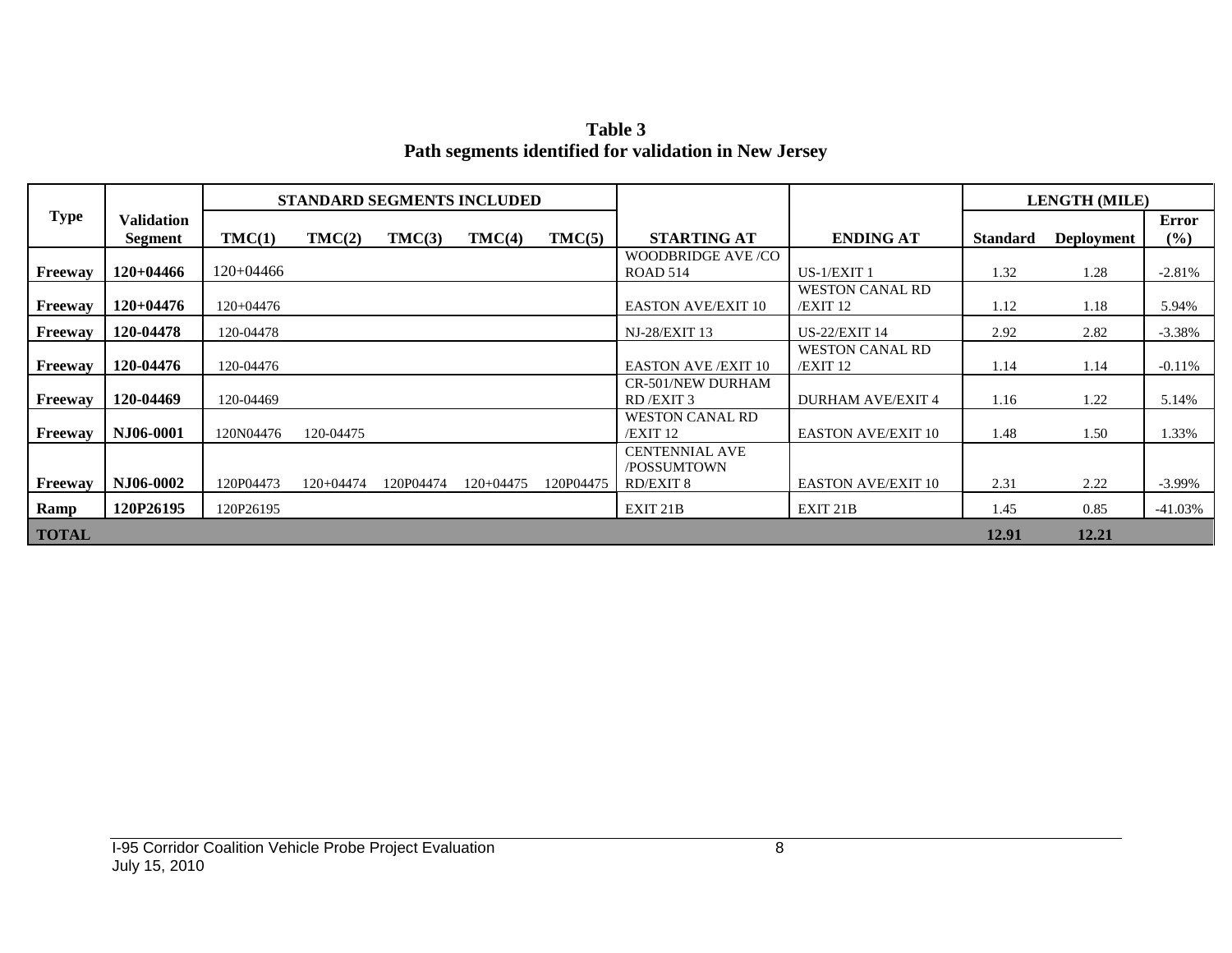**Table 3 Path segments identified for validation in New Jersey**

|              |                              |             |           | <b>STANDARD SEGMENTS INCLUDED</b> |             |           |                                                          |                                      |                 | <b>LENGTH (MILE)</b> |                        |
|--------------|------------------------------|-------------|-----------|-----------------------------------|-------------|-----------|----------------------------------------------------------|--------------------------------------|-----------------|----------------------|------------------------|
| <b>Type</b>  | <b>Validation</b><br>Segment | TMC(1)      | TMC(2)    | TMC(3)                            | TMC(4)      | TMC(5)    | <b>STARTING AT</b>                                       | <b>ENDING AT</b>                     | <b>Standard</b> | <b>Deployment</b>    | <b>Error</b><br>$($ %) |
| Freeway      | $120+04466$                  | 120+04466   |           |                                   |             |           | WOODBRIDGE AVE/CO<br><b>ROAD 514</b>                     | US-1/EXIT 1                          | 1.32            | 1.28                 | $-2.81\%$              |
| Freeway      | $120+04476$                  | $120+04476$ |           |                                   |             |           | <b>EASTON AVE/EXIT 10</b>                                | <b>WESTON CANAL RD</b><br>$/EXIT$ 12 | 1.12            | 1.18                 | 5.94%                  |
| Freeway      | 120-04478                    | 120-04478   |           |                                   |             |           | <b>NJ-28/EXIT 13</b>                                     | <b>US-22/EXIT 14</b>                 | 2.92            | 2.82                 | $-3.38\%$              |
| Freeway      | 120-04476                    | 120-04476   |           |                                   |             |           | <b>EASTON AVE /EXIT 10</b>                               | <b>WESTON CANAL RD</b><br>$/EXIT$ 12 | 1.14            | 1.14                 | $-0.11\%$              |
| Freeway      | 120-04469                    | 120-04469   |           |                                   |             |           | <b>CR-501/NEW DURHAM</b><br>RD/EXIT 3                    | <b>DURHAM AVE/EXIT 4</b>             | 1.16            | 1.22                 | 5.14%                  |
| Freeway      | NJ06-0001                    | 120N04476   | 120-04475 |                                   |             |           | WESTON CANAL RD<br>/EXIT 12                              | <b>EASTON AVE/EXIT 10</b>            | 1.48            | 1.50                 | 1.33%                  |
| Freeway      | NJ06-0002                    | 120P04473   | 120+04474 | 120P04474                         | $120+04475$ | 120P04475 | <b>CENTENNIAL AVE</b><br>/POSSUMTOWN<br><b>RD/EXIT 8</b> | <b>EASTON AVE/EXIT 10</b>            | 2.31            | 2.22                 | $-3.99\%$              |
| Ramp         | 120P26195                    | 120P26195   |           |                                   |             |           | EXIT 21B                                                 | EXIT 21B                             | 1.45            | 0.85                 | $-41.03\%$             |
| <b>TOTAL</b> |                              |             |           |                                   |             |           |                                                          |                                      | 12.91           | 12.21                |                        |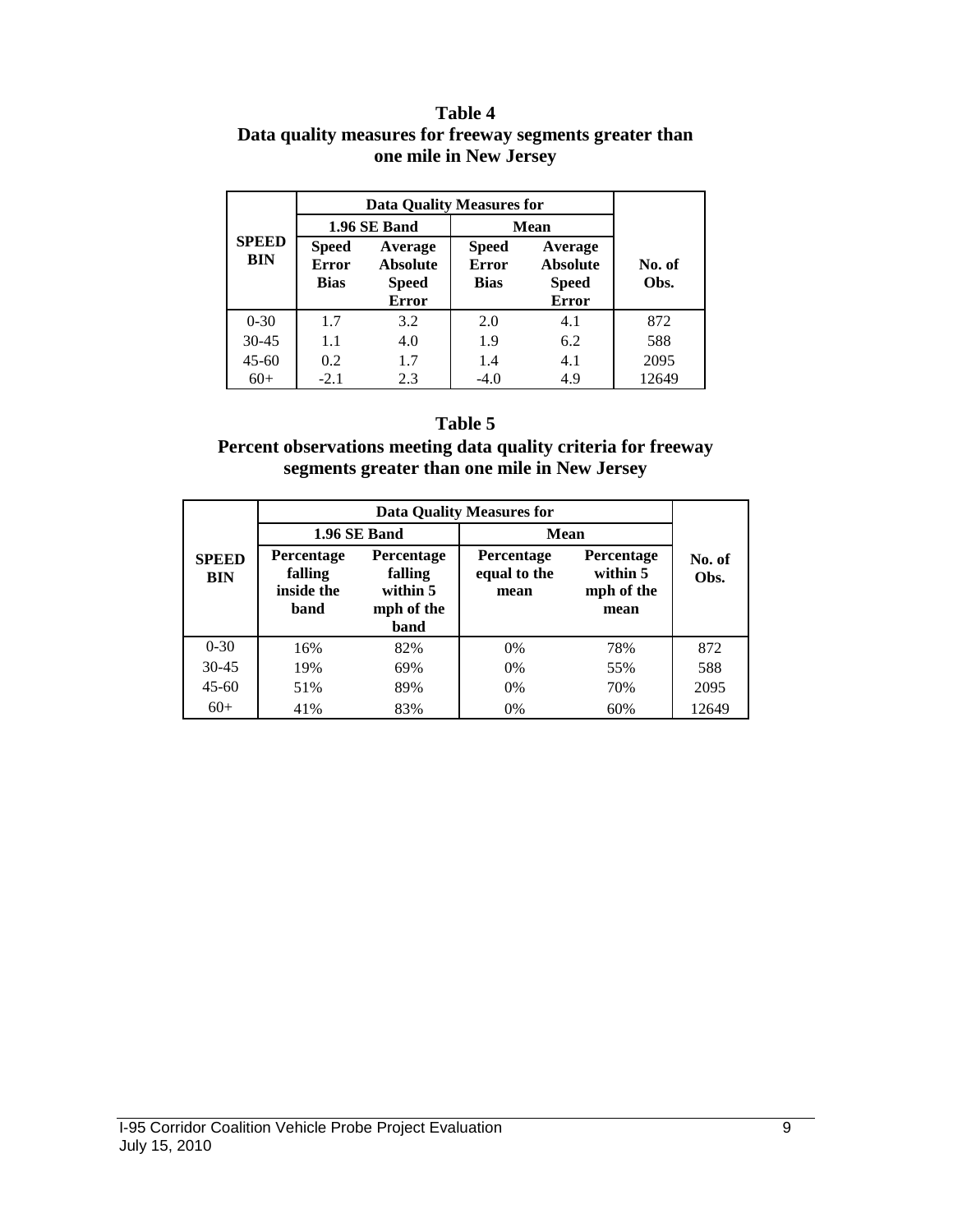#### **Table 4 Data quality measures for freeway segments greater than one mile in New Jersey**

|                                        |                                             | <b>Data Quality Measures for</b>                           |                                             |                                                            |                |  |  |  |
|----------------------------------------|---------------------------------------------|------------------------------------------------------------|---------------------------------------------|------------------------------------------------------------|----------------|--|--|--|
|                                        |                                             | 1.96 SE Band                                               |                                             | <b>Mean</b>                                                |                |  |  |  |
| <b>SPEED</b><br><b>BIN</b><br>$0 - 30$ | <b>Speed</b><br><b>Error</b><br><b>Bias</b> | Average<br><b>Absolute</b><br><b>Speed</b><br><b>Error</b> | <b>Speed</b><br><b>Error</b><br><b>Bias</b> | Average<br><b>Absolute</b><br><b>Speed</b><br><b>Error</b> | No. of<br>Obs. |  |  |  |
|                                        | 1.7                                         | 3.2                                                        | 2.0                                         | 4.1                                                        | 872            |  |  |  |
| $30 - 45$                              | 1.1                                         | 4.0                                                        | 1.9                                         | 6.2                                                        | 588            |  |  |  |
| $45 - 60$                              | 0.2                                         | 1.7                                                        | 1.4                                         | 4.1                                                        | 2095           |  |  |  |
| $60+$                                  | $-2.1$                                      | 2.3                                                        | $-4.0$                                      | 4.9                                                        | 12649          |  |  |  |

### **Table 5**

#### **Percent observations meeting data quality criteria for freeway segments greater than one mile in New Jersey**

|                            |                                                    |                                                         | <b>Data Quality Measures for</b>          |                                                     |                |
|----------------------------|----------------------------------------------------|---------------------------------------------------------|-------------------------------------------|-----------------------------------------------------|----------------|
|                            |                                                    | 1.96 SE Band                                            | Mean                                      |                                                     |                |
| <b>SPEED</b><br><b>BIN</b> | <b>Percentage</b><br>falling<br>inside the<br>band | Percentage<br>falling<br>within 5<br>mph of the<br>band | <b>Percentage</b><br>equal to the<br>mean | <b>Percentage</b><br>within 5<br>mph of the<br>mean | No. of<br>Obs. |
| $0 - 30$                   | 16%                                                | 82%                                                     | 0%                                        | 78%                                                 | 872            |
| $30 - 45$                  | 19%                                                | 69%                                                     | $0\%$                                     | 55%                                                 | 588            |
| $45 - 60$                  | 51%                                                | 89%                                                     | $0\%$                                     | 70%                                                 | 2095           |
| $60+$                      | 41%                                                | 83%                                                     | 0%                                        | 60%                                                 | 12649          |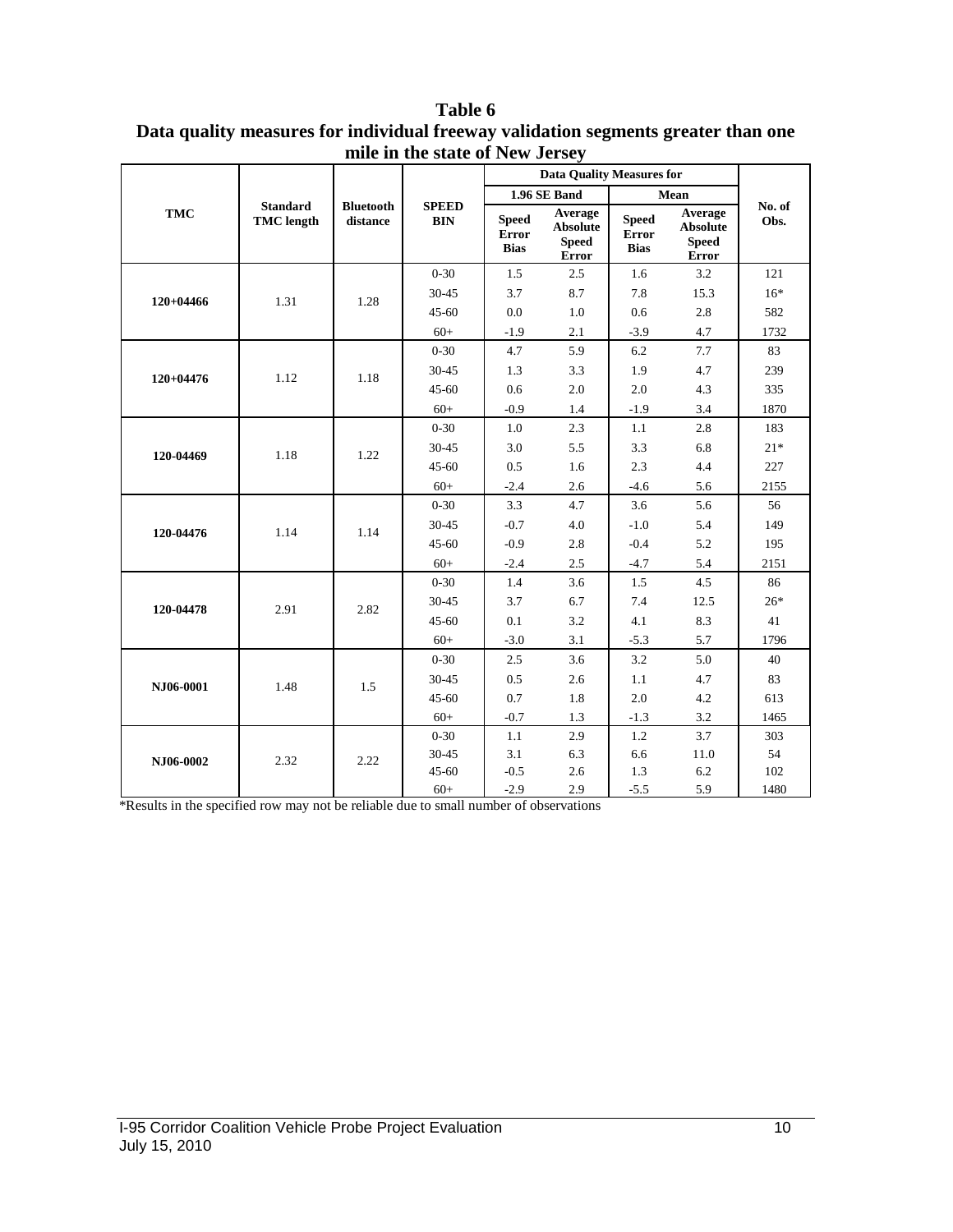|             |                                      |                              |                            |                                             | <b>Data Quality Measures for</b>                           |                                             |                                                            |                |
|-------------|--------------------------------------|------------------------------|----------------------------|---------------------------------------------|------------------------------------------------------------|---------------------------------------------|------------------------------------------------------------|----------------|
|             |                                      |                              |                            |                                             | 1.96 SE Band                                               |                                             | Mean                                                       |                |
| <b>TMC</b>  | <b>Standard</b><br><b>TMC</b> length | <b>Bluetooth</b><br>distance | <b>SPEED</b><br><b>BIN</b> | <b>Speed</b><br><b>Error</b><br><b>Bias</b> | Average<br><b>Absolute</b><br><b>Speed</b><br><b>Error</b> | <b>Speed</b><br><b>Error</b><br><b>Bias</b> | Average<br><b>Absolute</b><br><b>Speed</b><br><b>Error</b> | No. of<br>Obs. |
|             |                                      |                              | $0 - 30$                   | 1.5                                         | 2.5                                                        | 1.6                                         | 3.2                                                        | 121            |
| $120+04466$ | 1.31                                 | 1.28                         | 30-45                      | 3.7                                         | 8.7                                                        | 7.8                                         | 15.3                                                       | $16*$          |
|             |                                      |                              | $45 - 60$                  | 0.0                                         | 1.0                                                        | 0.6                                         | 2.8                                                        | 582            |
|             |                                      |                              | $60+$                      | $-1.9$                                      | 2.1                                                        | $-3.9$                                      | 4.7                                                        | 1732           |
|             |                                      |                              | $0 - 30$                   | 4.7                                         | 5.9                                                        | 6.2                                         | 7.7                                                        | 83             |
| $120+04476$ | 1.12                                 | 1.18                         | 30-45                      | 1.3                                         | 3.3                                                        | 1.9                                         | 4.7                                                        | 239            |
|             |                                      |                              | $45 - 60$                  | 0.6                                         | 2.0                                                        | $2.0\,$                                     | 4.3                                                        | 335            |
|             |                                      |                              | $60+$                      | $-0.9$                                      | 1.4                                                        | $-1.9$                                      | 3.4                                                        | 1870           |
|             |                                      |                              | $0 - 30$                   | 1.0                                         | 2.3                                                        | 1.1                                         | 2.8                                                        | 183            |
| 120-04469   | 1.18                                 | 1.22                         | 30-45                      | 3.0                                         | 5.5                                                        | 3.3                                         | 6.8                                                        | $21*$          |
|             |                                      |                              | 45-60                      | 0.5                                         | 1.6                                                        | 2.3                                         | 4.4                                                        | 227            |
|             |                                      |                              | $60+$                      | $-2.4$                                      | 2.6                                                        | $-4.6$                                      | 5.6                                                        | 2155           |
|             |                                      |                              | $0 - 30$                   | 3.3                                         | 4.7                                                        | 3.6                                         | 5.6                                                        | 56             |
| 120-04476   | 1.14                                 | 1.14                         | $30 - 45$                  | $-0.7$                                      | 4.0                                                        | $-1.0$                                      | 5.4                                                        | 149            |
|             |                                      |                              | $45 - 60$                  | $-0.9$                                      | 2.8                                                        | $-0.4$                                      | 5.2                                                        | 195            |
|             |                                      |                              | $60+$                      | $-2.4$                                      | 2.5                                                        | $-4.7$                                      | 5.4                                                        | 2151           |
|             |                                      |                              | $0 - 30$                   | 1.4                                         | 3.6                                                        | 1.5                                         | 4.5                                                        | 86             |
| 120-04478   | 2.91                                 | 2.82                         | 30-45                      | 3.7                                         | 6.7                                                        | 7.4                                         | 12.5                                                       | $26*$          |
|             |                                      |                              | $45 - 60$                  | $0.1\,$                                     | 3.2                                                        | 4.1                                         | 8.3                                                        | 41             |
|             |                                      |                              | $60+$                      | $-3.0$                                      | 3.1                                                        | $-5.3$                                      | 5.7                                                        | 1796           |
|             |                                      |                              | $0 - 30$                   | 2.5                                         | 3.6                                                        | 3.2                                         | 5.0                                                        | 40             |
| NJ06-0001   | 1.48                                 | 1.5                          | 30-45                      | $0.5\,$                                     | 2.6                                                        | $1.1\,$                                     | 4.7                                                        | 83             |
|             |                                      |                              | $45 - 60$                  | $0.7\,$                                     | 1.8                                                        | 2.0                                         | 4.2                                                        | 613            |
|             |                                      |                              | $60+$                      | $-0.7$                                      | 1.3                                                        | $-1.3$                                      | 3.2                                                        | 1465           |
|             |                                      |                              | $0 - 30$                   | $1.1\,$                                     | 2.9                                                        | 1.2                                         | 3.7                                                        | 303            |
| NJ06-0002   | 2.32                                 | 2.22                         | 30-45                      | 3.1                                         | 6.3                                                        | 6.6                                         | 11.0                                                       | 54             |
|             |                                      |                              | $45 - 60$                  | $-0.5$                                      | 2.6                                                        | 1.3                                         | 6.2                                                        | 102            |
|             |                                      |                              | $60+$                      | $-2.9$                                      | 2.9                                                        | $-5.5$                                      | 5.9                                                        | 1480           |

**Table 6 Data quality measures for individual freeway validation segments greater than one mile in the state of New Jersey**

\*Results in the specified row may not be reliable due to small number of observations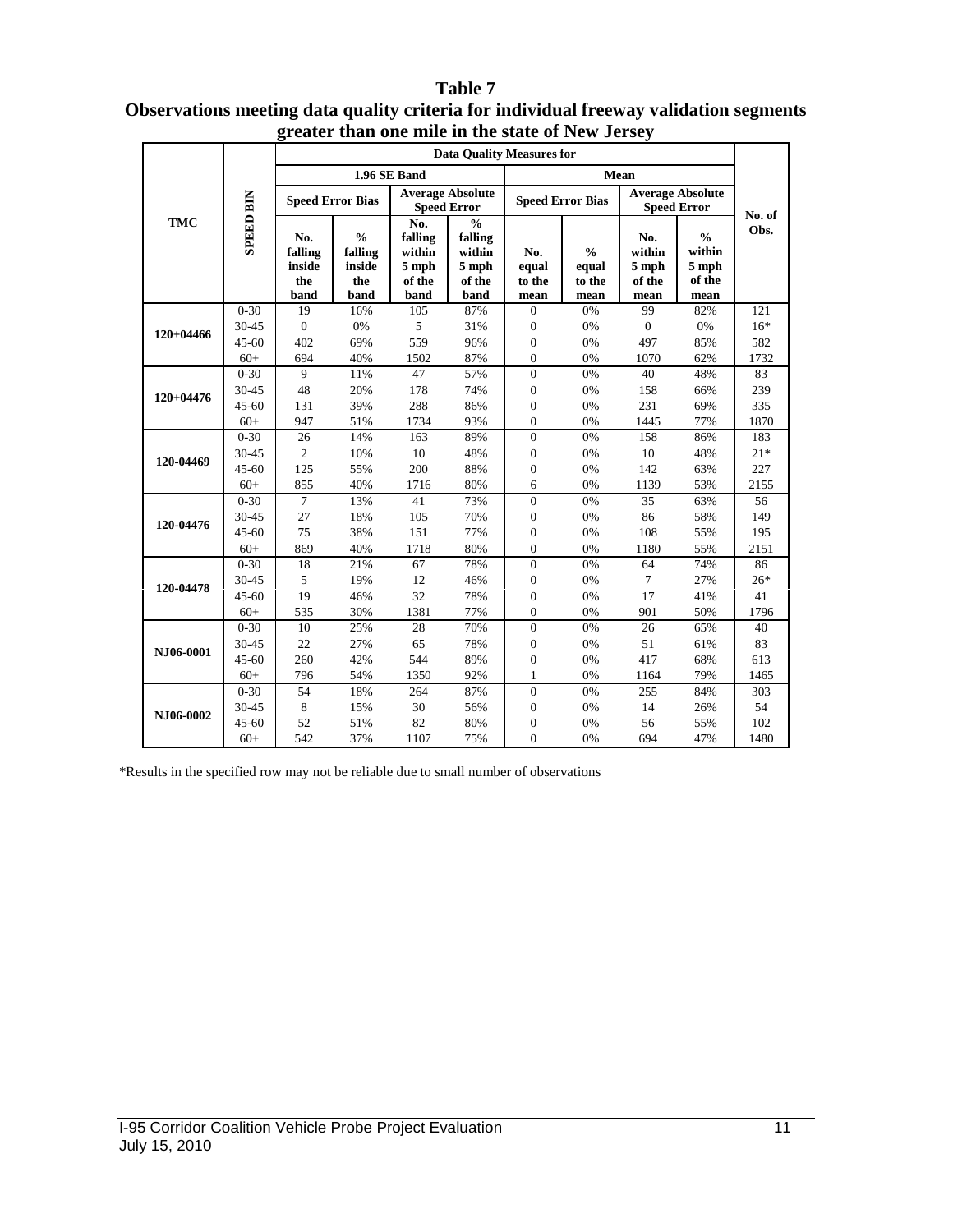#### **Data Quality Measures for 1.96 SE Band Mean Speed Error Bias Average Absolute Speed Error Speed Error Speed Error Bias Average Absolute SPEED BIN SPEED BIN Speed Error No. of TMC No.**   $\frac{6}{6}$ **Obs. % falling falling**   $\frac{6}{6}$ **No. No. falling falling % within within within within No. inside inside 5 mph 5 mph equal equal 5 mph 5 mph the the of the of the to the to the of the of the band band band band mean mean mean mean** 0-30 19 16% 105 87% 0 0% 99 82% 121 30-45 0 0% 5 31% 0 0% 0 0% 16\* **120+04466** 45-60 402 69% 559 96% 0 0% 497 85% 582 60+ 694 40% 1502 87% 0 0% 1070 62% 1732 0-30 9 11% 47 57% 0 0% 40 48% 83 30-45 48 20% 178 74% 0 0% 158 66% 239 **120+04476** 45-60 131 39% 288 86% 0 0% 231 69% 335 60+ 947 51% 1734 93% 0 0% 1445 77% 1870 0-30 26 14% 163 89% 0 0% 158 86% 183 30-45 2 10% 10 48% 0 0% 10 48% 21\* **120-04469** 45-60 125 55% 200 88% 0 0% 142 63% 227 60+ 855 40% 1716 80% 6 0% 1139 53% 2155 0-30 7 13% 41 73% 0 0% 35 63% 56 30-45 27 18% 105 70% 0 0% 86 58% 149 **120-04476** 45-60 75 38% 151 77% 0 0% 108 55% 195 60+ 869 40% 1718 80% 0 0% 1180 55% 2151 0-30 18 21% 67 78% 0 0% 64 74% 86 30-45 5 19% 12 46% 0 0% 7 27% 26\* **120-04478** 45-60 19 46% 32 78% 0 0% 17 41% 41 60+ 535 30% 1381 77% 0 0% 901 50% 1796 0-30 10 25% 28 70% 0 0% 26 65% 40 30-45 22 27% 65 78% 0 0% 51 61% 83 **NJ06-0001** 45-60 260 42% 544 89% 0 0% 417 68% 613 60+ 796 54% 1350 92% 1 0% 1164 79% 1465 0-30 54 18% 264 87% 0 0% 255 84% 303 30-45 8 15% 30 56% 0 0% 14 26% 54 **NJ06-0002**  45-60 52 51% 82 80% 0 0% 56 55% 102 60+ 542 37% 1107 75% 0 0% 694 47% 1480

#### **Table 7 Observations meeting data quality criteria for individual freeway validation segments greater than one mile in the state of New Jersey**

\*Results in the specified row may not be reliable due to small number of observations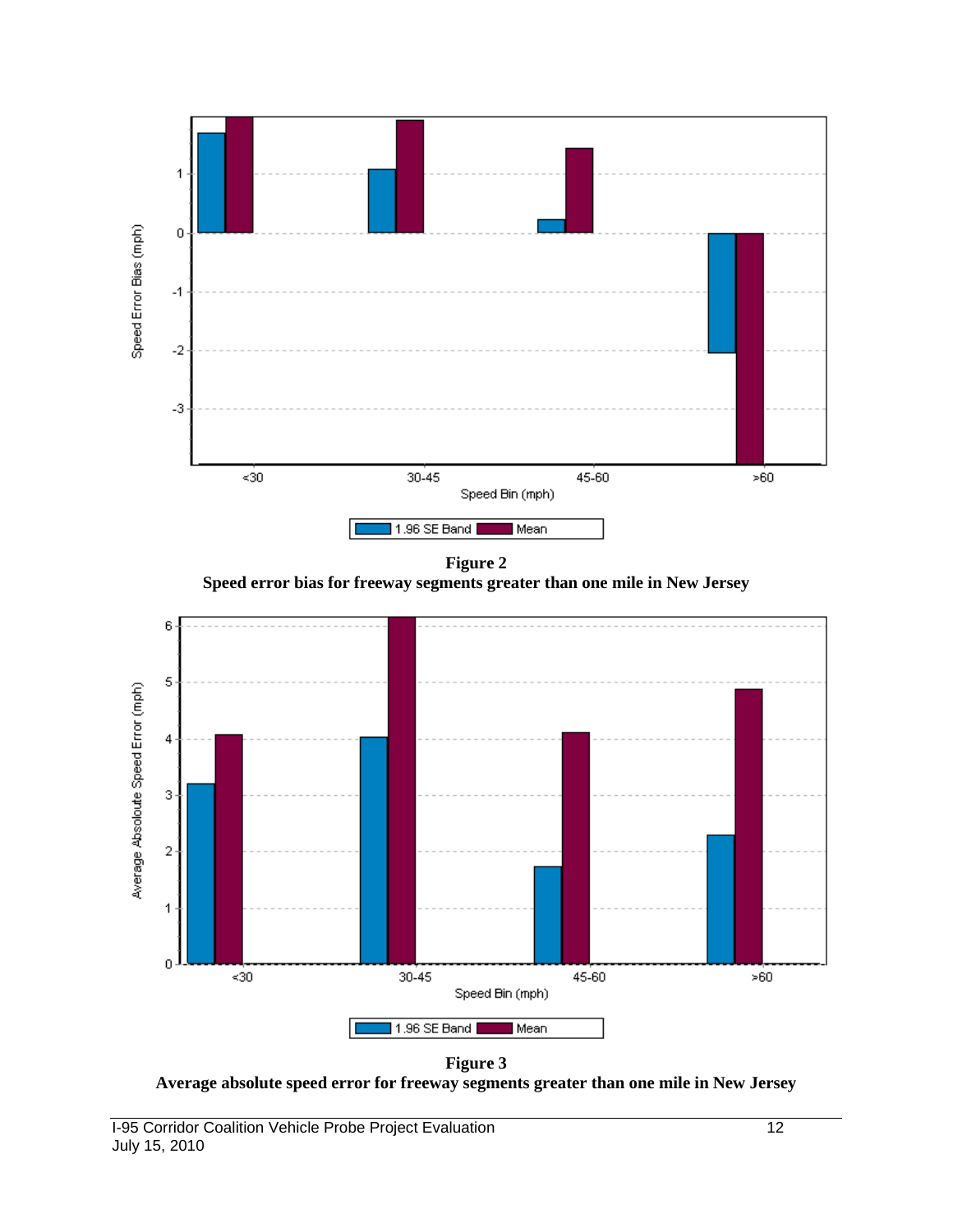

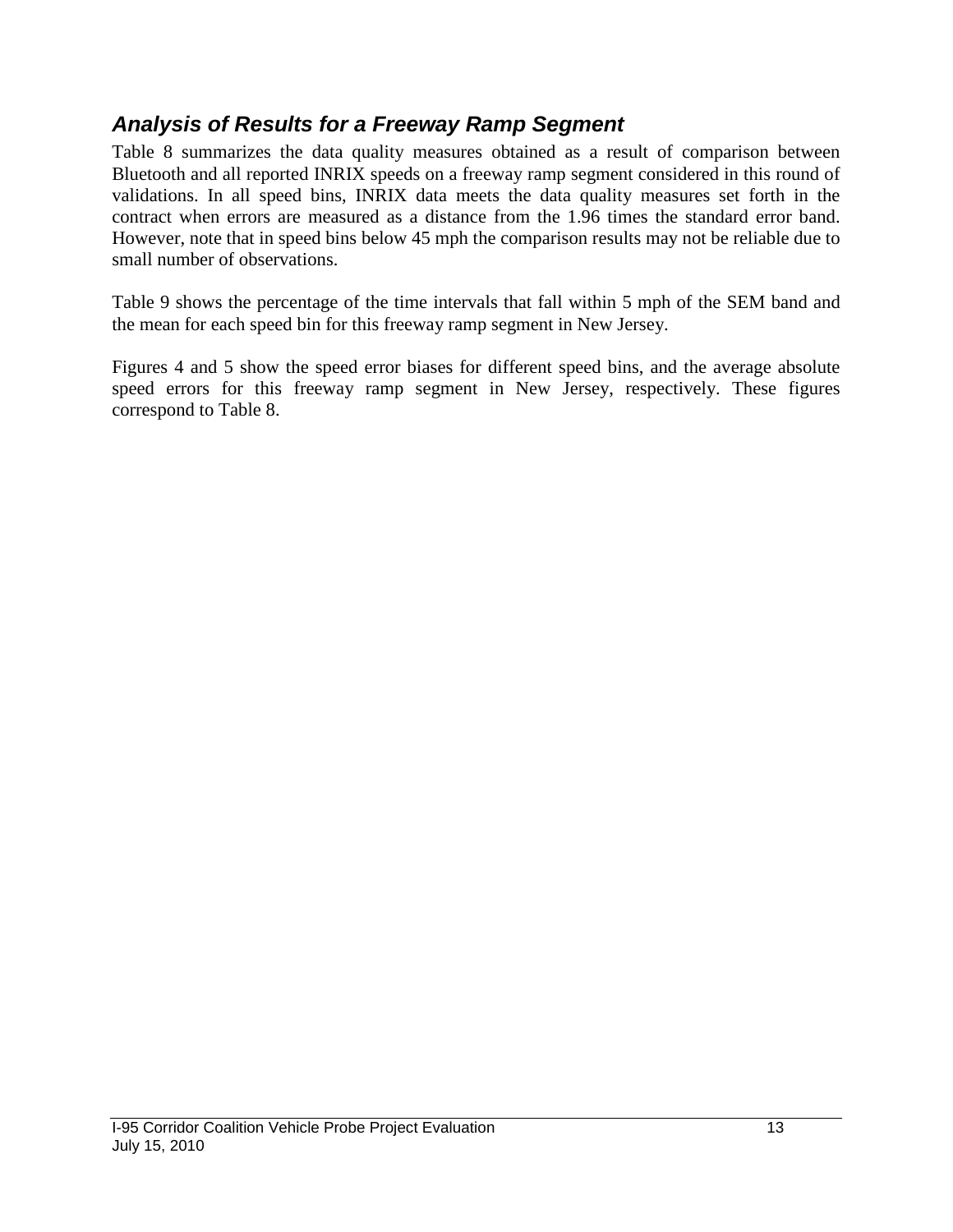## *Analysis of Results for a Freeway Ramp Segment*

Table 8 summarizes the data quality measures obtained as a result of comparison between Bluetooth and all reported INRIX speeds on a freeway ramp segment considered in this round of validations. In all speed bins, INRIX data meets the data quality measures set forth in the contract when errors are measured as a distance from the 1.96 times the standard error band. However, note that in speed bins below 45 mph the comparison results may not be reliable due to small number of observations.

Table 9 shows the percentage of the time intervals that fall within 5 mph of the SEM band and the mean for each speed bin for this freeway ramp segment in New Jersey.

Figures 4 and 5 show the speed error biases for different speed bins, and the average absolute speed errors for this freeway ramp segment in New Jersey, respectively. These figures correspond to Table 8.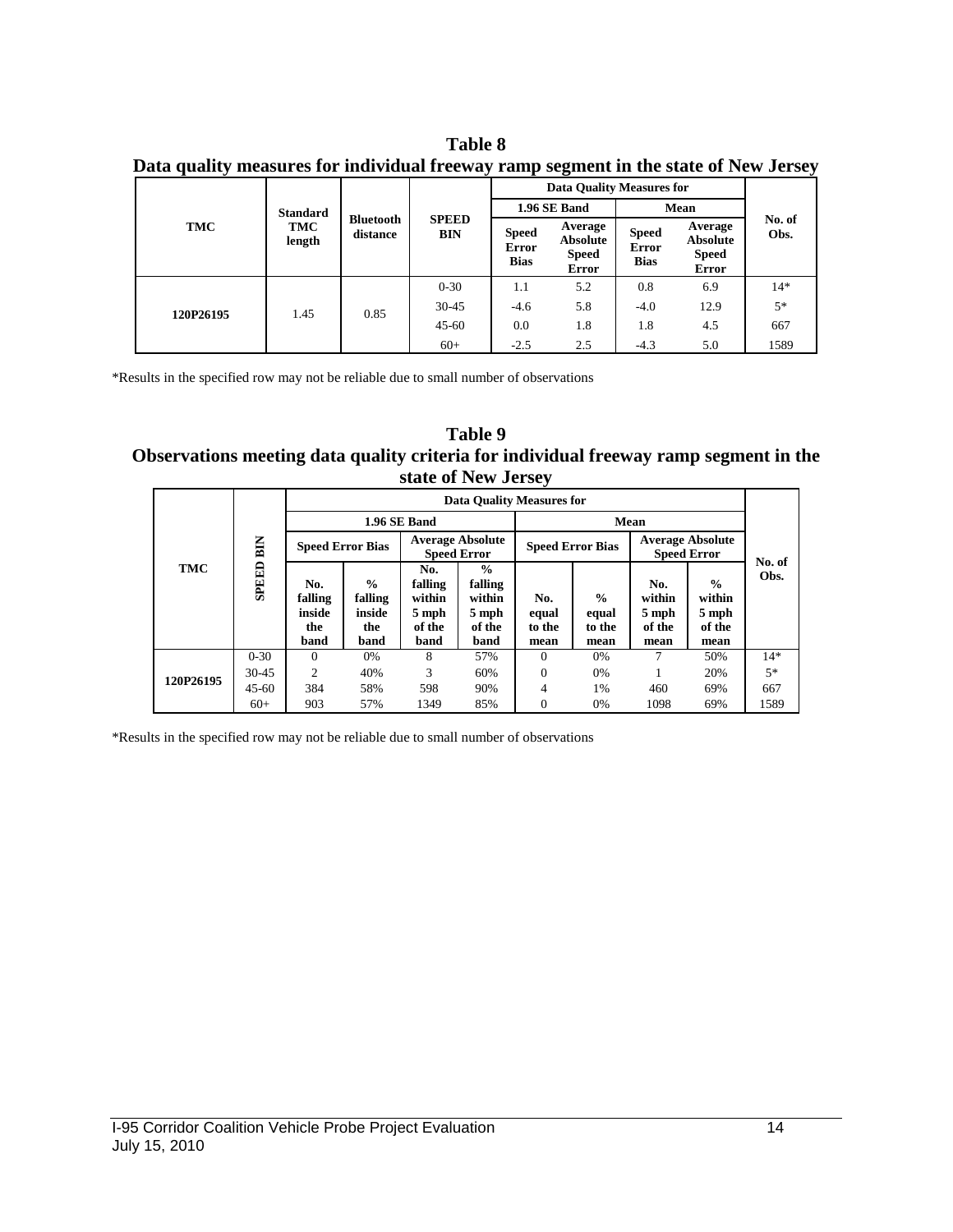| <b>Table 8</b> |  |
|----------------|--|
|----------------|--|

|  | Data quality measures for individual freeway ramp segment in the state of New Jersey |  |  |  |  |  |
|--|--------------------------------------------------------------------------------------|--|--|--|--|--|
|  |                                                                                      |  |  |  |  |  |
|  |                                                                                      |  |  |  |  |  |

|           |                 |                              |                     |                                      | Data Quality Measures for                                  |                                             |                                                            |                |  |
|-----------|-----------------|------------------------------|---------------------|--------------------------------------|------------------------------------------------------------|---------------------------------------------|------------------------------------------------------------|----------------|--|
|           | <b>Standard</b> |                              |                     | <b>1.96 SE Band</b>                  |                                                            |                                             | Mean                                                       |                |  |
| TMC       | TMC<br>length   | <b>Bluetooth</b><br>distance | <b>SPEED</b><br>BIN | <b>Speed</b><br>Error<br><b>Bias</b> | Average<br><b>Absolute</b><br><b>Speed</b><br><b>Error</b> | <b>Speed</b><br><b>Error</b><br><b>Bias</b> | Average<br><b>Absolute</b><br><b>Speed</b><br><b>Error</b> | No. of<br>Obs. |  |
|           |                 | 0.85                         | $0 - 30$            | 1.1                                  | 5.2                                                        | 0.8                                         | 6.9                                                        | $14*$          |  |
| 120P26195 | 1.45            |                              | $30-45$             | $-4.6$                               | 5.8                                                        | $-4.0$                                      | 12.9                                                       | $5*$           |  |
|           |                 |                              | $45 - 60$           | 0.0                                  | 1.8                                                        | 1.8                                         | 4.5                                                        | 667            |  |
|           |                 |                              | $60+$               | $-2.5$                               | 2.5                                                        | $-4.3$                                      | 5.0                                                        | 1589           |  |

\*Results in the specified row may not be reliable due to small number of observations

**Table 9 Observations meeting data quality criteria for individual freeway ramp segment in the state of New Jersey**

|           |           |                                         |                                                   |                                                     | Data Quality Measures for                                     |                                |                                          |                                          |                                                    |                |
|-----------|-----------|-----------------------------------------|---------------------------------------------------|-----------------------------------------------------|---------------------------------------------------------------|--------------------------------|------------------------------------------|------------------------------------------|----------------------------------------------------|----------------|
|           |           |                                         |                                                   | 1.96 SE Band                                        |                                                               |                                | Mean                                     |                                          |                                                    |                |
|           | BIN       |                                         | <b>Speed Error Bias</b>                           |                                                     | <b>Average Absolute</b><br><b>Speed Error</b>                 |                                | <b>Speed Error Bias</b>                  |                                          | <b>Average Absolute</b><br><b>Speed Error</b>      |                |
| TMC       | SPEED     | No.<br>falling<br>inside<br>the<br>band | $\frac{0}{0}$<br>falling<br>inside<br>the<br>band | No.<br>falling<br>within<br>5 mph<br>of the<br>band | $\frac{0}{0}$<br>falling<br>within<br>5 mph<br>of the<br>band | No.<br>equal<br>to the<br>mean | $\frac{0}{0}$<br>equal<br>to the<br>mean | No.<br>within<br>5 mph<br>of the<br>mean | $\frac{0}{0}$<br>within<br>5 mph<br>of the<br>mean | No. of<br>Obs. |
|           | $0 - 30$  | $\Omega$                                | 0%                                                | 8                                                   | 57%                                                           | $\Omega$                       | 0%                                       | 7                                        | 50%                                                | $14*$          |
| 120P26195 | 30-45     | $\overline{c}$                          | 40%                                               | 3                                                   | 60%                                                           | $\Omega$                       | 0%                                       |                                          | 20%                                                | $5*$           |
|           | $45 - 60$ | 384                                     | 58%                                               | 598                                                 | 90%                                                           | 4                              | 1%                                       | 460                                      | 69%                                                | 667            |
|           | $60+$     | 903                                     | 57%                                               | 1349                                                | 85%                                                           | $\Omega$                       | 0%                                       | 1098                                     | 69%                                                | 1589           |

\*Results in the specified row may not be reliable due to small number of observations